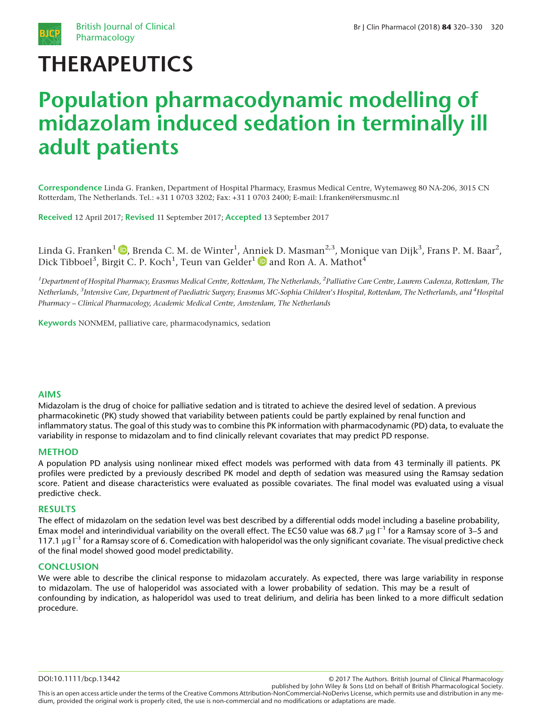

# THERAPEUTICS

# Population pharmacodynamic modelling of midazolam induced sedation in terminally ill adult patients

Correspondence Linda G. Franken, Department of Hospital Pharmacy, Erasmus Medical Centre, Wytemaweg 80 NA-206, 3015 CN Rotterdam, The Netherlands. Tel.: +31 1 0703 3202; Fax: +31 1 0703 2400; E-mail: l.franken@ersmusmc.nl

Received 12 April 2017; Revised 11 September 2017; Accepted 13 September 2017

Linda G. Franken $^1$   $\bullet$ [,](http://orcid.org/0000-0001-6436-9825) Brenda C. M. de Winter $^1$ , Anniek D. Masman $^{2,3}$ , Monique van Dijk $^3$ , Frans P. M. Baar $^2$ , Dick Tibboel $^3$ , Birgit C. P. Koch $^1$ , Teun van Gelder $^1$   $\textcolor{blue}\bullet$  and Ron A. A. Mathot $^4$ 

<sup>1</sup>Department of Hospital Pharmacy, Erasmus Medical Centre, Rotterdam, The Netherlands, <sup>2</sup>Palliative Care Centre, Laurens Cadenza, Rotterdam, The Netherlands, <sup>3</sup>Intensive Care, Department of Paediatric Surgery, Erasmus MC-Sophia Children's Hospital, Rotterdam, The Netherlands, and <sup>4</sup>Hospital Pharmacy – Clinical Pharmacology, Academic Medical Centre, Amsterdam, The Netherlands

Keywords NONMEM, palliative care, pharmacodynamics, sedation

#### AIMS

Midazolam is the drug of choice for palliative sedation and is titrated to achieve the desired level of sedation. A previous pharmacokinetic (PK) study showed that variability between patients could be partly explained by renal function and inflammatory status. The goal of this study was to combine this PK information with pharmacodynamic (PD) data, to evaluate the variability in response to midazolam and to find clinically relevant covariates that may predict PD response.

#### METHOD

A population PD analysis using nonlinear mixed effect models was performed with data from 43 terminally ill patients. PK profiles were predicted by a previously described PK model and depth of sedation was measured using the Ramsay sedation score. Patient and disease characteristics were evaluated as possible covariates. The final model was evaluated using a visual predictive check.

#### RESULTS

The effect of midazolam on the sedation level was best described by a differential odds model including a baseline probability, Emax model and interindividual variability on the overall effect. The EC50 value was 68.7  $\mu$ g l<sup>-1</sup> for a Ramsay score of 3–5 and 117.1 μg  $I^{-1}$  for a Ramsay score of 6. Comedication with haloperidol was the only significant covariate. The visual predictive check of the final model showed good model predictability.

#### **CONCLUSION**

We were able to describe the clinical response to midazolam accurately. As expected, there was large variability in response to midazolam. The use of haloperidol was associated with a lower probability of sedation. This may be a result of confounding by indication, as haloperidol was used to treat delirium, and deliria has been linked to a more difficult sedation procedure.

DOI:10.1111/bcp.13442

published by John Wiley & Sons Ltd on behalf of British Pharmacological Society. This is an open access article under the terms of the [Creative Commons Attribution-NonCommercial-NoDerivs](http://creativecommons.org/licenses/by-nc-nd/4.0/) License, which permits use and distribution in any medium, provided the original work is properly cited, the use is non-commercial and no modifications or adaptations are made.

<sup>© 2017</sup> The Authors. British Journal of Clinical Pharmacology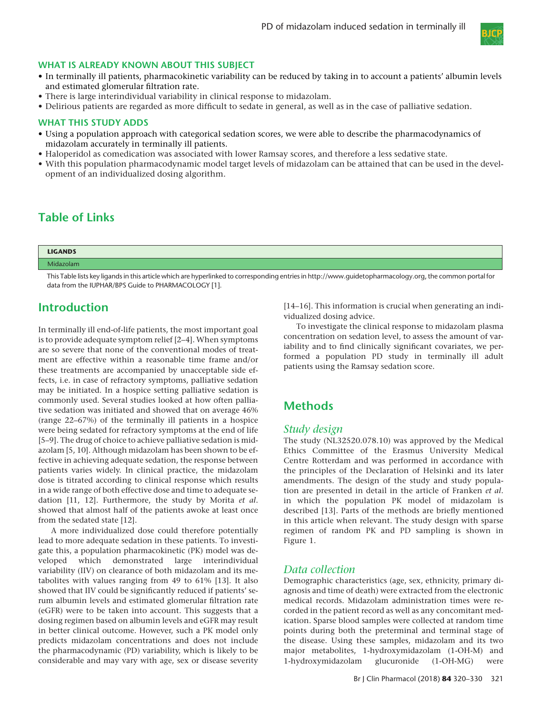

#### WHAT IS ALREADY KNOWN ABOUT THIS SUBJECT

- In terminally ill patients, pharmacokinetic variability can be reduced by taking in to account a patients' albumin levels and estimated glomerular filtration rate.
- There is large interindividual variability in clinical response to midazolam.
- Delirious patients are regarded as more difficult to sedate in general, as well as in the case of palliative sedation.

#### WHAT THIS STUDY ADDS

- Using a population approach with categorical sedation scores, we were able to describe the pharmacodynamics of midazolam accurately in terminally ill patients.
- Haloperidol as comedication was associated with lower Ramsay scores, and therefore a less sedative state.
- With this population pharmacodynamic model target levels of midazolam can be attained that can be used in the development of an individualized dosing algorithm.

## Table of Links

| <b>LIGANDS</b> |  |
|----------------|--|
| Midazolam      |  |

This Table lists key ligands in this article which are hyperlinked to corresponding entries in [http://www.guidetopharmacology.org,](http://www.guidetopharmacology.org) the common portal for data from the IUPHAR/BPS Guide to PHARMACOLOGY [1].

## Introduction

In terminally ill end-of-life patients, the most important goal is to provide adequate symptom relief [2–4]. When symptoms are so severe that none of the conventional modes of treatment are effective within a reasonable time frame and/or these treatments are accompanied by unacceptable side effects, i.e. in case of refractory symptoms, palliative sedation may be initiated. In a hospice setting palliative sedation is commonly used. Several studies looked at how often palliative sedation was initiated and showed that on average 46% (range 22–67%) of the terminally ill patients in a hospice were being sedated for refractory symptoms at the end of life [5–9]. The drug of choice to achieve palliative sedation is midazolam [5, 10]. Although midazolam has been shown to be effective in achieving adequate sedation, the response between patients varies widely. In clinical practice, the midazolam dose is titrated according to clinical response which results in a wide range of both effective dose and time to adequate sedation [11, 12]. Furthermore, the study by Morita et al. showed that almost half of the patients awoke at least once from the sedated state [12].

A more individualized dose could therefore potentially lead to more adequate sedation in these patients. To investigate this, a population pharmacokinetic (PK) model was developed which demonstrated large interindividual variability (IIV) on clearance of both midazolam and its metabolites with values ranging from 49 to 61% [13]. It also showed that IIV could be significantly reduced if patients' serum albumin levels and estimated glomerular filtration rate (eGFR) were to be taken into account. This suggests that a dosing regimen based on albumin levels and eGFR may result in better clinical outcome. However, such a PK model only predicts midazolam concentrations and does not include the pharmacodynamic (PD) variability, which is likely to be considerable and may vary with age, sex or disease severity [14–16]. This information is crucial when generating an individualized dosing advice.

To investigate the clinical response to midazolam plasma concentration on sedation level, to assess the amount of variability and to find clinically significant covariates, we performed a population PD study in terminally ill adult patients using the Ramsay sedation score.

## **Methods**

#### Study design

The study (NL32520.078.10) was approved by the Medical Ethics Committee of the Erasmus University Medical Centre Rotterdam and was performed in accordance with the principles of the Declaration of Helsinki and its later amendments. The design of the study and study population are presented in detail in the article of Franken et al. in which the population PK model of midazolam is described [13]. Parts of the methods are briefly mentioned in this article when relevant. The study design with sparse regimen of random PK and PD sampling is shown in Figure 1.

#### Data collection

Demographic characteristics (age, sex, ethnicity, primary diagnosis and time of death) were extracted from the electronic medical records. Midazolam administration times were recorded in the patient record as well as any concomitant medication. Sparse blood samples were collected at random time points during both the preterminal and terminal stage of the disease. Using these samples, midazolam and its two major metabolites, 1-hydroxymidazolam (1-OH-M) and 1-hydroxymidazolam glucuronide (1-OH-MG) were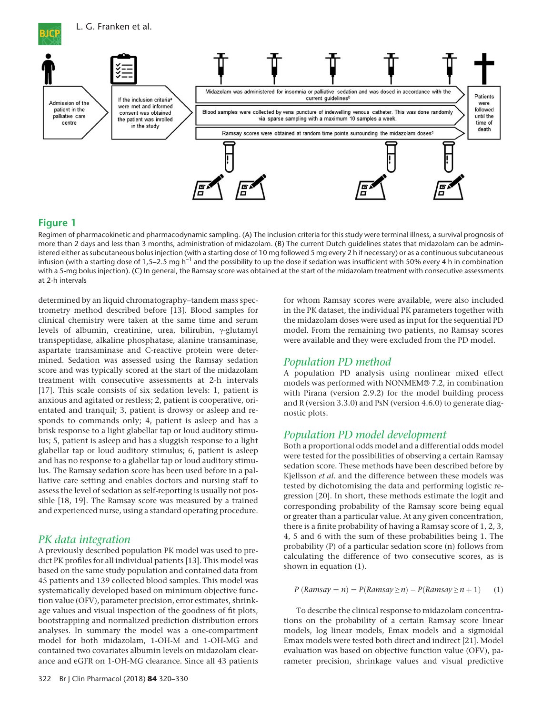

## Figure 1

Regimen of pharmacokinetic and pharmacodynamic sampling. (A) The inclusion criteria for this study were terminal illness, a survival prognosis of more than 2 days and less than 3 months, administration of midazolam. (B) The current Dutch guidelines states that midazolam can be administered either as subcutaneous bolus injection (with a starting dose of 10 mg followed 5 mg every 2 h if necessary) or as a continuous subcutaneous infusion (with a starting dose of 1,5–2.5 mg  $h^{-1}$  and the possibility to up the dose if sedation was insufficient with 50% every 4 h in combination with a 5-mg bolus injection). (C) In general, the Ramsay score was obtained at the start of the midazolam treatment with consecutive assessments at 2-h intervals

determined by an liquid chromatography–tandem mass spectrometry method described before [13]. Blood samples for clinical chemistry were taken at the same time and serum levels of albumin, creatinine, urea, bilirubin, γ-glutamyl transpeptidase, alkaline phosphatase, alanine transaminase, aspartate transaminase and C-reactive protein were determined. Sedation was assessed using the Ramsay sedation score and was typically scored at the start of the midazolam treatment with consecutive assessments at 2-h intervals [17]. This scale consists of six sedation levels: 1, patient is anxious and agitated or restless; 2, patient is cooperative, orientated and tranquil; 3, patient is drowsy or asleep and responds to commands only; 4, patient is asleep and has a brisk response to a light glabellar tap or loud auditory stimulus; 5, patient is asleep and has a sluggish response to a light glabellar tap or loud auditory stimulus; 6, patient is asleep and has no response to a glabellar tap or loud auditory stimulus. The Ramsay sedation score has been used before in a palliative care setting and enables doctors and nursing staff to assess the level of sedation as self-reporting is usually not possible [18, 19]. The Ramsay score was measured by a trained and experienced nurse, using a standard operating procedure.

## PK data integration

A previously described population PK model was used to predict PK profiles for all individual patients [13]. This model was based on the same study population and contained data from 45 patients and 139 collected blood samples. This model was systematically developed based on minimum objective function value (OFV), parameter precision, error estimates, shrinkage values and visual inspection of the goodness of fit plots, bootstrapping and normalized prediction distribution errors analyses. In summary the model was a one-compartment model for both midazolam, 1-OH-M and 1-OH-MG and contained two covariates albumin levels on midazolam clearance and eGFR on 1-OH-MG clearance. Since all 43 patients

for whom Ramsay scores were available, were also included in the PK dataset, the individual PK parameters together with the midazolam doses were used as input for the sequential PD model. From the remaining two patients, no Ramsay scores were available and they were excluded from the PD model.

## Population PD method

A population PD analysis using nonlinear mixed effect models was performed with NONMEM® 7.2, in combination with Pirana (version 2.9.2) for the model building process and R (version 3.3.0) and PsN (version 4.6.0) to generate diagnostic plots.

## Population PD model development

Both a proportional odds model and a differential odds model were tested for the possibilities of observing a certain Ramsay sedation score. These methods have been described before by Kjellsson et al. and the difference between these models was tested by dichotomising the data and performing logistic regression [20]. In short, these methods estimate the logit and corresponding probability of the Ramsay score being equal or greater than a particular value. At any given concentration, there is a finite probability of having a Ramsay score of 1, 2, 3, 4, 5 and 6 with the sum of these probabilities being 1. The probability (P) of a particular sedation score (n) follows from calculating the difference of two consecutive scores, as is shown in equation (1).

$$
P(Ramsay = n) = P(Ramsay \ge n) - P(Ramsay \ge n + 1)
$$
 (1)

To describe the clinical response to midazolam concentrations on the probability of a certain Ramsay score linear models, log linear models, Emax models and a sigmoidal Emax models were tested both direct and indirect [21]. Model evaluation was based on objective function value (OFV), parameter precision, shrinkage values and visual predictive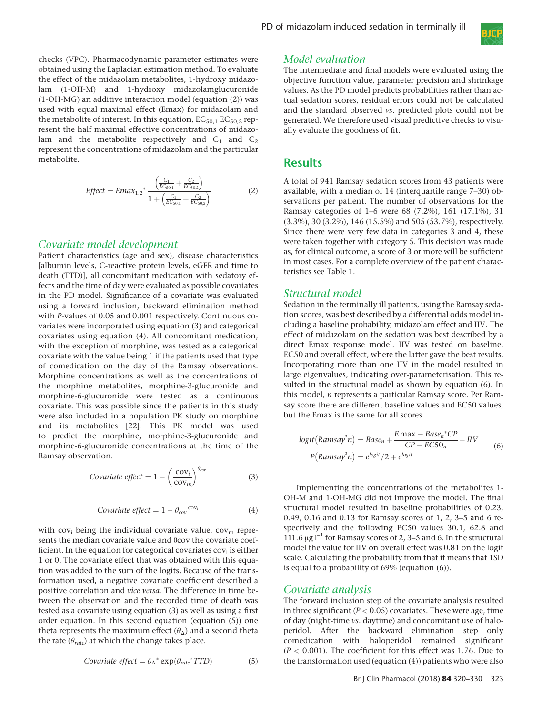

checks (VPC). Pharmacodynamic parameter estimates were obtained using the Laplacian estimation method. To evaluate the effect of the midazolam metabolites, 1-hydroxy midazolam (1-OH-M) and 1-hydroxy midazolamglucuronide (1-OH-MG) an additive interaction model (equation (2)) was used with equal maximal effect (Emax) for midazolam and the metabolite of interest. In this equation,  $EC_{50,1}$   $EC_{50,2}$  represent the half maximal effective concentrations of midazolam and the metabolite respectively and  $C_1$  and  $C_2$ represent the concentrations of midazolam and the particular metabolite.

$$
Effect = Emax_{1,2}^{*} \frac{\left(\frac{C_1}{EC_{50,1}} + \frac{C_2}{EC_{50,2}}\right)}{1 + \left(\frac{C_1}{EC_{50,1}} + \frac{C_2}{EC_{50,2}}\right)}
$$
(2)

### Covariate model development

Patient characteristics (age and sex), disease characteristics [albumin levels, C-reactive protein levels, eGFR and time to death (TTD)], all concomitant medication with sedatory effects and the time of day were evaluated as possible covariates in the PD model. Significance of a covariate was evaluated using a forward inclusion, backward elimination method with P-values of 0.05 and 0.001 respectively. Continuous covariates were incorporated using equation (3) and categorical covariates using equation (4). All concomitant medication, with the exception of morphine, was tested as a categorical covariate with the value being 1 if the patients used that type of comedication on the day of the Ramsay observations. Morphine concentrations as well as the concentrations of the morphine metabolites, morphine-3-glucuronide and morphine-6-glucuronide were tested as a continuous covariate. This was possible since the patients in this study were also included in a population PK study on morphine and its metabolites [22]. This PK model was used to predict the morphine, morphine-3-glucuronide and morphine-6-glucuronide concentrations at the time of the Ramsay observation.

$$
Covariate effect = 1 - \left(\frac{\text{cov}_i}{\text{cov}_m}\right)^{\theta_{cov}} \tag{3}
$$

$$
Covariate effect = 1 - \theta_{cov}^{cov} \tag{4}
$$

with  $cov_i$  being the individual covariate value,  $cov_m$  represents the median covariate value and θcov the covariate coefficient. In the equation for categorical covariates  $cov<sub>i</sub>$  is either 1 or 0. The covariate effect that was obtained with this equation was added to the sum of the logits. Because of the transformation used, a negative covariate coefficient described a positive correlation and vice versa. The difference in time between the observation and the recorded time of death was tested as a covariate using equation (3) as well as using a first order equation. In this second equation (equation (5)) one theta represents the maximum effect  $(\theta_{\Delta})$  and a second theta the rate ( $\theta_{\text{rate}}$ ) at which the change takes place.

$$
Covariate effect = \theta_{\Delta}^* \exp(\theta_{rate}^* TTD)
$$
 (5)

#### Model evaluation

The intermediate and final models were evaluated using the objective function value, parameter precision and shrinkage values. As the PD model predicts probabilities rather than actual sedation scores, residual errors could not be calculated and the standard observed vs. predicted plots could not be generated. We therefore used visual predictive checks to visually evaluate the goodness of fit.

## Results

A total of 941 Ramsay sedation scores from 43 patients were available, with a median of 14 (interquartile range 7–30) observations per patient. The number of observations for the Ramsay categories of 1–6 were 68 (7.2%), 161 (17.1%), 31 (3.3%), 30 (3.2%), 146 (15.5%) and 505 (53.7%), respectively. Since there were very few data in categories 3 and 4, these were taken together with category 5. This decision was made as, for clinical outcome, a score of 3 or more will be sufficient in most cases. For a complete overview of the patient characteristics see Table 1.

#### Structural model

Sedation in the terminally ill patients, using the Ramsay sedation scores, was best described by a differential odds model including a baseline probability, midazolam effect and IIV. The effect of midazolam on the sedation was best described by a direct Emax response model. IIV was tested on baseline, EC50 and overall effect, where the latter gave the best results. Incorporating more than one IIV in the model resulted in large eigenvalues, indicating over-parameterisation. This resulted in the structural model as shown by equation (6). In this model, n represents a particular Ramsay score. Per Ramsay score there are different baseline values and EC50 values, but the Emax is the same for all scores.

$$
logit(Ramsay3n) = Basen + \frac{E \max - Basen * CP}{CP + ECSOn} + HV
$$
  
P(Ramsay<sup>3</sup>n) = e<sup>logit</sup>/2 + e<sup>logit</sup> (6)

Implementing the concentrations of the metabolites 1- OH-M and 1-OH-MG did not improve the model. The final structural model resulted in baseline probabilities of 0.23, 0.49, 0.16 and 0.13 for Ramsay scores of 1, 2, 3–5 and 6 respectively and the following EC50 values 30.1, 62.8 and 111.6  $\mu$ g l<sup>-1</sup> for Ramsay scores of 2, 3–5 and 6. In the structural model the value for IIV on overall effect was 0.81 on the logit scale. Calculating the probability from that it means that 1SD is equal to a probability of 69% (equation (6)).

#### Covariate analysis

The forward inclusion step of the covariate analysis resulted in three significant ( $P < 0.05$ ) covariates. These were age, time of day (night-time vs. daytime) and concomitant use of haloperidol. After the backward elimination step only comedication with haloperidol remained significant  $(P < 0.001)$ . The coefficient for this effect was 1.76. Due to the transformation used (equation (4)) patients who were also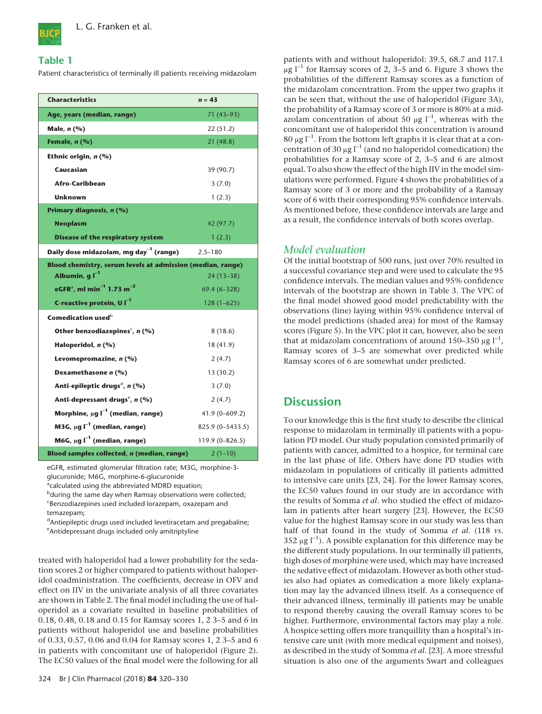

### Table 1

Patient characteristics of terminally ill patients receiving midazolam

| <b>Characteristics</b>                                        | $n = 43$          |  |  |  |
|---------------------------------------------------------------|-------------------|--|--|--|
| Age, years (median, range)                                    | 71 (43–93)        |  |  |  |
| Male, n (%)                                                   | 22(51.2)          |  |  |  |
| Female, $n$ (%)                                               | 21 (48.8)         |  |  |  |
| Ethnic origin, $n$ (%)                                        |                   |  |  |  |
| Caucasian                                                     | 39 (90.7)         |  |  |  |
| Afro-Caribbean                                                | 3(7.0)            |  |  |  |
| <b>Unknown</b>                                                | 1(2.3)            |  |  |  |
| Primary diagnosis, n (%)                                      |                   |  |  |  |
| <b>Neoplasm</b>                                               | 42 (97.7)         |  |  |  |
| <b>Disease of the respiratory system</b>                      | 1(2.3)            |  |  |  |
| Daily dose midazolam, mg day <sup>-1</sup> (range)            | $2.5 - 180$       |  |  |  |
| Blood chemistry, serum levels at admission (median, range)    |                   |  |  |  |
| Albumin, $qI^{-1}$                                            | $24(13-38)$       |  |  |  |
| eGFR <sup>a</sup> , ml min <sup>-1</sup> 1.73 m <sup>-2</sup> | $69.4(6 - 328)$   |  |  |  |
| C-reactive protein, U I <sup>-1</sup>                         | $128(1-625)$      |  |  |  |
| Comedication used <sup>b</sup>                                |                   |  |  |  |
| Other benzodiazepines <sup>c</sup> , $n$ (%)                  | 8(18.6)           |  |  |  |
| Haloperidol, $n$ (%)                                          | 18 (41.9)         |  |  |  |
| Levomepromazine, n (%)                                        | 2(4.7)            |  |  |  |
| Dexamethasone n (%)                                           | 13(30.2)          |  |  |  |
| Anti-epileptic drugs <sup>d</sup> , $n$ (%)                   | 3(7.0)            |  |  |  |
| Anti-depressant drugs <sup>e</sup> , n (%)                    | 2(4.7)            |  |  |  |
| Morphine, $\mu$ g l $^{-1}$ (median, range)                   | $41.9(0 - 609.2)$ |  |  |  |
| M3G, $\mu$ g l <sup>-1</sup> (median, range)                  | 825.9 (0-5433.5)  |  |  |  |
| M6G, $\mu$ g l <sup>-1</sup> (median, range)                  | 119.9 (0-826.5)   |  |  |  |
| Blood samples collected, n (median, range)                    | $2(1-10)$         |  |  |  |

eGFR, estimated glomerular filtration rate; M3G, morphine-3 glucuronide; M6G, morphine-6-glucuronide

<sup>a</sup>calculated using the abbreviated MDRD equation;

<sup>b</sup>during the same day when Ramsay observations were collected; EBenzodiazepines used included lorazepam, oxazepam and temazepam;

<sup>d</sup>Antiepileptic drugs used included levetiracetam and pregabaline; e Antidepressant drugs included only amitriptyline

treated with haloperidol had a lower probability for the sedation scores 2 or higher compared to patients without haloperidol coadministration. The coefficients, decrease in OFV and effect on IIV in the univariate analysis of all three covariates are shown in Table 2. The final model including the use of haloperidol as a covariate resulted in baseline probabilities of 0.18, 0.48, 0.18 and 0.15 for Ramsay scores 1, 2 3–5 and 6 in patients without haloperidol use and baseline probabilities of 0.33, 0.57, 0.06 and 0.04 for Ramsay scores 1, 2 3–5 and 6 in patients with concomitant use of haloperidol (Figure 2). The EC50 values of the final model were the following for all

patients with and without haloperidol: 39.5, 68.7 and 117.1  $\mu$ g l<sup>-1</sup> for Ramsay scores of 2, 3–5 and 6. Figure 3 shows the probabilities of the different Ramsay scores as a function of the midazolam concentration. From the upper two graphs it can be seen that, without the use of haloperidol (Figure 3A), the probability of a Ramsay score of 3 or more is 80% at a midazolam concentration of about 50  $\mu$ g l<sup>-1</sup>, whereas with the concomitant use of haloperidol this concentration is around  $80 \mu g$   $l^{-1}$ . From the bottom left graphs it is clear that at a concentration of 30  $\mu$ g l<sup>-1</sup> (and no haloperidol comedication) the probabilities for a Ramsay score of 2, 3–5 and 6 are almost equal. To also show the effect of the high IIV in the model simulations were performed. Figure 4 shows the probabilities of a Ramsay score of 3 or more and the probability of a Ramsay score of 6 with their corresponding 95% confidence intervals. As mentioned before, these confidence intervals are large and as a result, the confidence intervals of both scores overlap.

## Model evaluation

Of the initial bootstrap of 500 runs, just over 70% resulted in a successful covariance step and were used to calculate the 95 confidence intervals. The median values and 95% confidence intervals of the bootstrap are shown in Table 3. The VPC of the final model showed good model predictability with the observations (line) laying within 95% confidence interval of the model predictions (shaded area) for most of the Ramsay scores (Figure 5). In the VPC plot it can, however, also be seen that at midazolam concentrations of around 150-350  $\mu$ g l<sup>-1</sup>, Ramsay scores of 3–5 are somewhat over predicted while Ramsay scores of 6 are somewhat under predicted.

# **Discussion**

To our knowledge this is the first study to describe the clinical response to midazolam in terminally ill patients with a population PD model. Our study population consisted primarily of patients with cancer, admitted to a hospice, for terminal care in the last phase of life. Others have done PD studies with midazolam in populations of critically ill patients admitted to intensive care units [23, 24]. For the lower Ramsay scores, the EC50 values found in our study are in accordance with the results of Somma et al. who studied the effect of midazolam in patients after heart surgery [23]. However, the EC50 value for the highest Ramsay score in our study was less than half of that found in the study of Somma et al. (118 vs. 352  $\mu$ g l<sup>-1</sup>). A possible explanation for this difference may be the different study populations. In our terminally ill patients, high doses of morphine were used, which may have increased the sedative effect of midazolam. However as both other studies also had opiates as comedication a more likely explanation may lay the advanced illness itself. As a consequence of their advanced illness, terminally ill patients may be unable to respond thereby causing the overall Ramsay scores to be higher. Furthermore, environmental factors may play a role. A hospice setting offers more tranquillity than a hospital's intensive care unit (with more medical equipment and noises), as described in the study of Somma et al. [23]. A more stressful situation is also one of the arguments Swart and colleagues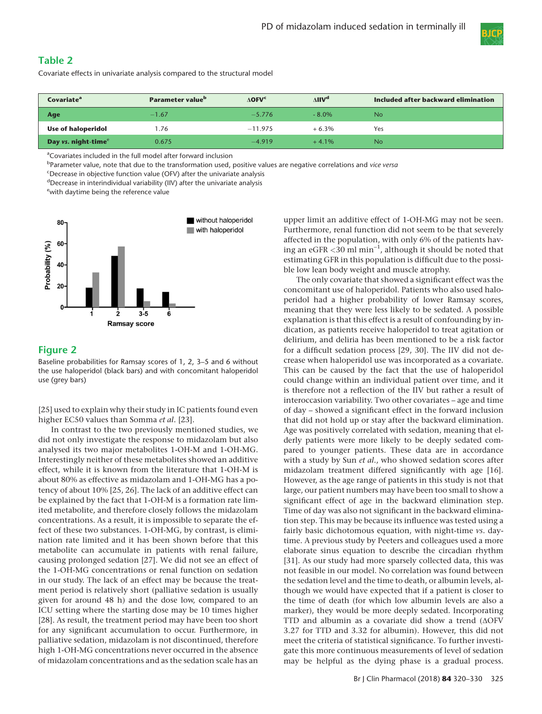

## Table 2

Covariate effects in univariate analysis compared to the structural model

| Covariate <sup>a</sup>          | <b>Parameter value</b> <sup>b</sup> | $\Lambda$ <b>OFV<sup>c</sup></b> | $\Delta$ IIV <sup>d</sup><br>Included after backward elimination |           |
|---------------------------------|-------------------------------------|----------------------------------|------------------------------------------------------------------|-----------|
| Age                             | $-1.67$                             | $-5.776$                         | $-8.0\%$                                                         | <b>No</b> |
| <b>Use of haloperidol</b>       | 1.76                                | $-11.975$                        | $+6.3%$                                                          | Yes       |
| Day vs. night-time <sup>e</sup> | 0.675                               | $-4.919$                         | $+4.1\%$                                                         | <b>No</b> |

<sup>a</sup>Covariates included in the full model after forward inclusion

<sup>b</sup>Parameter value, note that due to the transformation used, positive values are negative correlations and *vice versa* 

<sup>c</sup>Decrease in objective function value (OFV) after the univariate analysis

<sup>d</sup>Decrease in interindividual variability (IIV) after the univariate analysis

e with daytime being the reference value



## Figure 2

Baseline probabilities for Ramsay scores of 1, 2, 3–5 and 6 without the use haloperidol (black bars) and with concomitant haloperidol use (grey bars)

[25] used to explain why their study in IC patients found even higher EC50 values than Somma et al. [23].

In contrast to the two previously mentioned studies, we did not only investigate the response to midazolam but also analysed its two major metabolites 1-OH-M and 1-OH-MG. Interestingly neither of these metabolites showed an additive effect, while it is known from the literature that 1-OH-M is about 80% as effective as midazolam and 1-OH-MG has a potency of about 10% [25, 26]. The lack of an additive effect can be explained by the fact that 1-OH-M is a formation rate limited metabolite, and therefore closely follows the midazolam concentrations. As a result, it is impossible to separate the effect of these two substances. 1-OH-MG, by contrast, is elimination rate limited and it has been shown before that this metabolite can accumulate in patients with renal failure, causing prolonged sedation [27]. We did not see an effect of the 1-OH-MG concentrations or renal function on sedation in our study. The lack of an effect may be because the treatment period is relatively short (palliative sedation is usually given for around 48 h) and the dose low, compared to an ICU setting where the starting dose may be 10 times higher [28]. As result, the treatment period may have been too short for any significant accumulation to occur. Furthermore, in palliative sedation, midazolam is not discontinued, therefore high 1-OH-MG concentrations never occurred in the absence of midazolam concentrations and as the sedation scale has an

upper limit an additive effect of 1-OH-MG may not be seen. Furthermore, renal function did not seem to be that severely affected in the population, with only 6% of the patients having an eGFR  $<$ 30 ml min $^{-1}$ , although it should be noted that estimating GFR in this population is difficult due to the possible low lean body weight and muscle atrophy.

The only covariate that showed a significant effect was the concomitant use of haloperidol. Patients who also used haloperidol had a higher probability of lower Ramsay scores, meaning that they were less likely to be sedated. A possible explanation is that this effect is a result of confounding by indication, as patients receive haloperidol to treat agitation or delirium, and deliria has been mentioned to be a risk factor for a difficult sedation process [29, 30]. The IIV did not decrease when haloperidol use was incorporated as a covariate. This can be caused by the fact that the use of haloperidol could change within an individual patient over time, and it is therefore not a reflection of the IIV but rather a result of interoccasion variability. Two other covariates – age and time of day – showed a significant effect in the forward inclusion that did not hold up or stay after the backward elimination. Age was positively correlated with sedation, meaning that elderly patients were more likely to be deeply sedated compared to younger patients. These data are in accordance with a study by Sun et al., who showed sedation scores after midazolam treatment differed significantly with age [16]. However, as the age range of patients in this study is not that large, our patient numbers may have been too small to show a significant effect of age in the backward elimination step. Time of day was also not significant in the backward elimination step. This may be because its influence was tested using a fairly basic dichotomous equation, with night-time vs. daytime. A previous study by Peeters and colleagues used a more elaborate sinus equation to describe the circadian rhythm [31]. As our study had more sparsely collected data, this was not feasible in our model. No correlation was found between the sedation level and the time to death, or albumin levels, although we would have expected that if a patient is closer to the time of death (for which low albumin levels are also a marker), they would be more deeply sedated. Incorporating TTD and albumin as a covariate did show a trend (ΔOFV 3.27 for TTD and 3.32 for albumin). However, this did not meet the criteria of statistical significance. To further investigate this more continuous measurements of level of sedation may be helpful as the dying phase is a gradual process.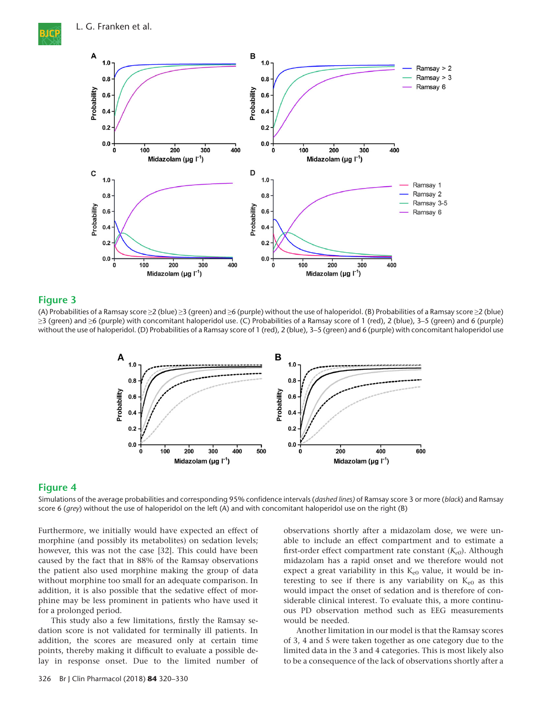L. G. Franken et al.



#### Figure 3

(A) Probabilities of a Ramsay score ≥2 (blue) ≥3 (green) and ≥6 (purple) without the use of haloperidol. (B) Probabilities of a Ramsay score ≥2 (blue)  $\geq$ 3 (green) and  $\geq$ 6 (purple) with concomitant haloperidol use. (C) Probabilities of a Ramsay score of 1 (red), 2 (blue), 3–5 (green) and 6 (purple) without the use of haloperidol. (D) Probabilities of a Ramsay score of 1 (red), 2 (blue), 3–5 (green) and 6 (purple) with concomitant haloperidol use



#### Figure 4

Simulations of the average probabilities and corresponding 95% confidence intervals (dashed lines) of Ramsay score 3 or more (black) and Ramsay score 6 (grey) without the use of haloperidol on the left (A) and with concomitant haloperidol use on the right (B)

Furthermore, we initially would have expected an effect of morphine (and possibly its metabolites) on sedation levels; however, this was not the case [32]. This could have been caused by the fact that in 88% of the Ramsay observations the patient also used morphine making the group of data without morphine too small for an adequate comparison. In addition, it is also possible that the sedative effect of morphine may be less prominent in patients who have used it for a prolonged period.

This study also a few limitations, firstly the Ramsay sedation score is not validated for terminally ill patients. In addition, the scores are measured only at certain time points, thereby making it difficult to evaluate a possible delay in response onset. Due to the limited number of

326 Br J Clin Pharmacol (2018) 84 320–330

observations shortly after a midazolam dose, we were unable to include an effect compartment and to estimate a first-order effect compartment rate constant  $(K_{e0})$ . Although midazolam has a rapid onset and we therefore would not expect a great variability in this  $K_{e0}$  value, it would be interesting to see if there is any variability on  $K_{e0}$  as this would impact the onset of sedation and is therefore of considerable clinical interest. To evaluate this, a more continuous PD observation method such as EEG measurements would be needed.

Another limitation in our model is that the Ramsay scores of 3, 4 and 5 were taken together as one category due to the limited data in the 3 and 4 categories. This is most likely also to be a consequence of the lack of observations shortly after a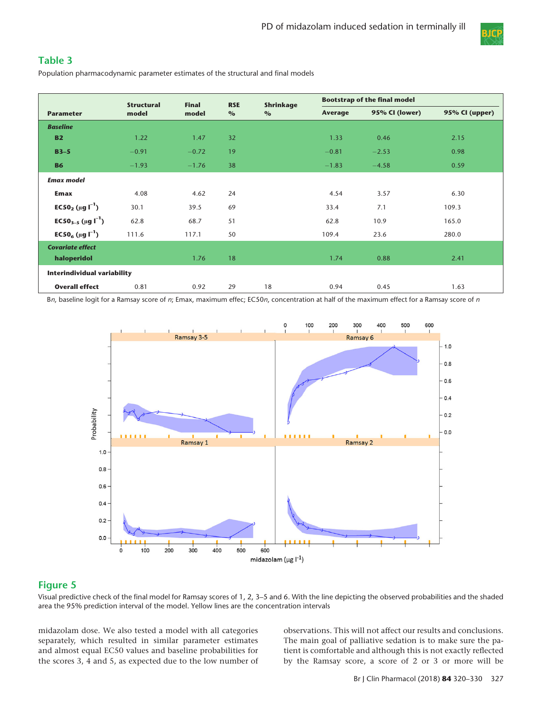

## Table 3

Population pharmacodynamic parameter estimates of the structural and final models

|                                                     | <b>Structural</b> | <b>Final</b> | <b>Bootstrap of the final model</b><br><b>RSE</b><br>Shrinkage |      |         |                |                |  |  |
|-----------------------------------------------------|-------------------|--------------|----------------------------------------------------------------|------|---------|----------------|----------------|--|--|
| <b>Parameter</b>                                    | model             | model        | $\%$                                                           | $\%$ | Average | 95% CI (lower) | 95% CI (upper) |  |  |
| <b>Baseline</b>                                     |                   |              |                                                                |      |         |                |                |  |  |
| <b>B2</b>                                           | 1.22              | 1.47         | 32                                                             |      | 1.33    | 0.46           | 2.15           |  |  |
| $B3-5$                                              | $-0.91$           | $-0.72$      | 19                                                             |      | $-0.81$ | $-2.53$        | 0.98           |  |  |
| <b>B6</b>                                           | $-1.93$           | $-1.76$      | 38                                                             |      | $-1.83$ | $-4.58$        | 0.59           |  |  |
| <b>Emax model</b>                                   |                   |              |                                                                |      |         |                |                |  |  |
| <b>Emax</b>                                         | 4.08              | 4.62         | 24                                                             |      | 4.54    | 3.57           | 6.30           |  |  |
| EC50 <sub>2</sub> ( $\mu$ g l <sup>-1</sup> )       | 30.1              | 39.5         | 69                                                             |      | 33.4    | 7.1            | 109.3          |  |  |
| EC50 <sub>3-5</sub> ( $\mu$ g l <sup>-1</sup> )     | 62.8              | 68.7         | 51                                                             |      | 62.8    | 10.9           | 165.0          |  |  |
| <b>EC50<sub>6</sub></b> ( $\mu$ g l <sup>-1</sup> ) | 111.6             | 117.1        | 50                                                             |      | 109.4   | 23.6           | 280.0          |  |  |
| <b>Covariate effect</b>                             |                   |              |                                                                |      |         |                |                |  |  |
| haloperidol                                         |                   | 1.76         | 18                                                             |      | 1.74    | 0.88           | 2.41           |  |  |
| <b>Interindividual variability</b>                  |                   |              |                                                                |      |         |                |                |  |  |
| <b>Overall effect</b>                               | 0.81              | 0.92         | 29                                                             | 18   | 0.94    | 0.45           | 1.63           |  |  |

Bn, baseline logit for a Ramsay score of n; Emax, maximum effec; EC50n, concentration at half of the maximum effect for a Ramsay score of n



## Figure 5

Visual predictive check of the final model for Ramsay scores of 1, 2, 3–5 and 6. With the line depicting the observed probabilities and the shaded area the 95% prediction interval of the model. Yellow lines are the concentration intervals

midazolam dose. We also tested a model with all categories separately, which resulted in similar parameter estimates and almost equal EC50 values and baseline probabilities for the scores 3, 4 and 5, as expected due to the low number of

observations. This will not affect our results and conclusions. The main goal of palliative sedation is to make sure the patient is comfortable and although this is not exactly reflected by the Ramsay score, a score of 2 or 3 or more will be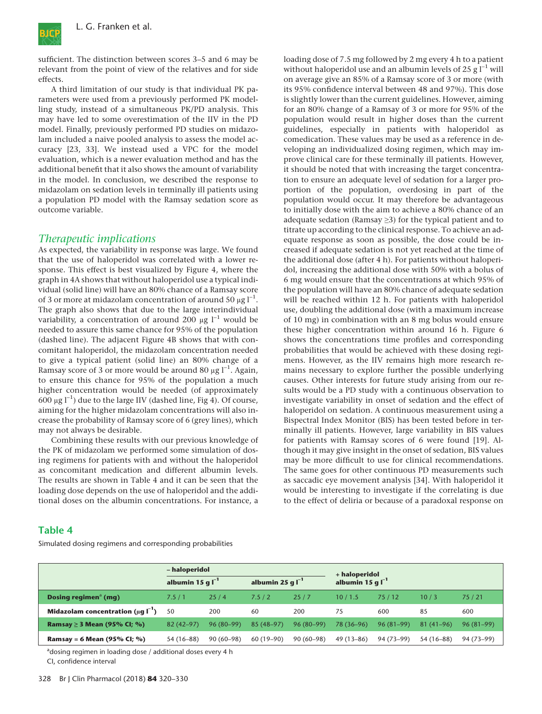

sufficient. The distinction between scores 3–5 and 6 may be relevant from the point of view of the relatives and for side effects.

A third limitation of our study is that individual PK parameters were used from a previously performed PK modelling study, instead of a simultaneous PK/PD analysis. This may have led to some overestimation of the IIV in the PD model. Finally, previously performed PD studies on midazolam included a naive pooled analysis to assess the model accuracy [23, 33]. We instead used a VPC for the model evaluation, which is a newer evaluation method and has the additional benefit that it also shows the amount of variability in the model. In conclusion, we described the response to midazolam on sedation levels in terminally ill patients using a population PD model with the Ramsay sedation score as outcome variable.

#### Therapeutic implications

As expected, the variability in response was large. We found that the use of haloperidol was correlated with a lower response. This effect is best visualized by Figure 4, where the graph in 4A shows that without haloperidol use a typical individual (solid line) will have an 80% chance of a Ramsay score of 3 or more at midazolam concentration of around 50  $\mu$ g l<sup>-1</sup>. The graph also shows that due to the large interindividual variability, a concentration of around 200  $\mu$ g l<sup>-1</sup> would be needed to assure this same chance for 95% of the population (dashed line). The adjacent Figure 4B shows that with concomitant haloperidol, the midazolam concentration needed to give a typical patient (solid line) an 80% change of a Ramsay score of 3 or more would be around 80  $\mu$ g l<sup>-1</sup>. Again, to ensure this chance for 95% of the population a much higher concentration would be needed (of approximately 600 μg  $I^{-1}$ ) due to the large IIV (dashed line, Fig 4). Of course, aiming for the higher midazolam concentrations will also increase the probability of Ramsay score of 6 (grey lines), which may not always be desirable.

Combining these results with our previous knowledge of the PK of midazolam we performed some simulation of dosing regimens for patients with and without the haloperidol as concomitant medication and different albumin levels. The results are shown in Table 4 and it can be seen that the loading dose depends on the use of haloperidol and the additional doses on the albumin concentrations. For instance, a loading dose of 7.5 mg followed by 2 mg every 4 h to a patient without haloperidol use and an albumin levels of 25 g  $l^{-1}$  will on average give an 85% of a Ramsay score of 3 or more (with its 95% confidence interval between 48 and 97%). This dose is slightly lower than the current guidelines. However, aiming for an 80% change of a Ramsay of 3 or more for 95% of the population would result in higher doses than the current guidelines, especially in patients with haloperidol as comedication. These values may be used as a reference in developing an individualized dosing regimen, which may improve clinical care for these terminally ill patients. However, it should be noted that with increasing the target concentration to ensure an adequate level of sedation for a larger proportion of the population, overdosing in part of the population would occur. It may therefore be advantageous to initially dose with the aim to achieve a 80% chance of an adequate sedation (Ramsay ≥3) for the typical patient and to titrate up according to the clinical response. To achieve an adequate response as soon as possible, the dose could be increased if adequate sedation is not yet reached at the time of the additional dose (after 4 h). For patients without haloperidol, increasing the additional dose with 50% with a bolus of 6 mg would ensure that the concentrations at which 95% of the population will have an 80% chance of adequate sedation will be reached within 12 h. For patients with haloperidol use, doubling the additional dose (with a maximum increase of 10 mg) in combination with an 8 mg bolus would ensure these higher concentration within around 16 h. Figure 6 shows the concentrations time profiles and corresponding probabilities that would be achieved with these dosing regimens. However, as the IIV remains high more research remains necessary to explore further the possible underlying causes. Other interests for future study arising from our results would be a PD study with a continuous observation to investigate variability in onset of sedation and the effect of haloperidol on sedation. A continuous measurement using a Bispectral Index Monitor (BIS) has been tested before in terminally ill patients. However, large variability in BIS values for patients with Ramsay scores of 6 were found [19]. Although it may give insight in the onset of sedation, BIS values may be more difficult to use for clinical recommendations. The same goes for other continuous PD measurements such as saccadic eye movement analysis [34]. With haloperidol it would be interesting to investigate if the correlating is due to the effect of deliria or because of a paradoxal response on

#### Table 4

Simulated dosing regimens and corresponding probabilities

|                                              | - haloperidol         |             |                       |             | + haloperidol         |             |             |             |
|----------------------------------------------|-----------------------|-------------|-----------------------|-------------|-----------------------|-------------|-------------|-------------|
|                                              | albumin 15 g $I^{-1}$ |             | albumin 25 g $I^{-1}$ |             | albumin 15 g $I^{-1}$ |             |             |             |
| Dosing regimen <sup>a</sup> (mg)             | 7.5/1                 | 25/4        | 7.5/2                 | 25/7        | 10/1.5                | 75/12       | 10/3        | 75/21       |
| Midazolam concentration ( $\mu$ q $\Gamma$ ) | 50                    | 200         | 60                    | 200         | 75                    | 600         | 85          | 600         |
| <b>Ramsay</b> ≥ 3 Mean (95% CI; %)           | $82(42 - 97)$         | $96(80-99)$ | $85(48-97)$           | $96(80-99)$ | 78 (36-96)            | $96(81-99)$ | $81(41-96)$ | $96(81-99)$ |
| Ramsay = 6 Mean (95% CI; %)                  | 54 (16–88)            | $90(60-98)$ | $60(19-90)$           | $90(60-98)$ | $49(13-86)$           | 94 (73–99)  | $54(16-88)$ | 94 (73-99)  |

<sup>a</sup>dosing regimen in loading dose / additional doses every 4 h

CI, confidence interval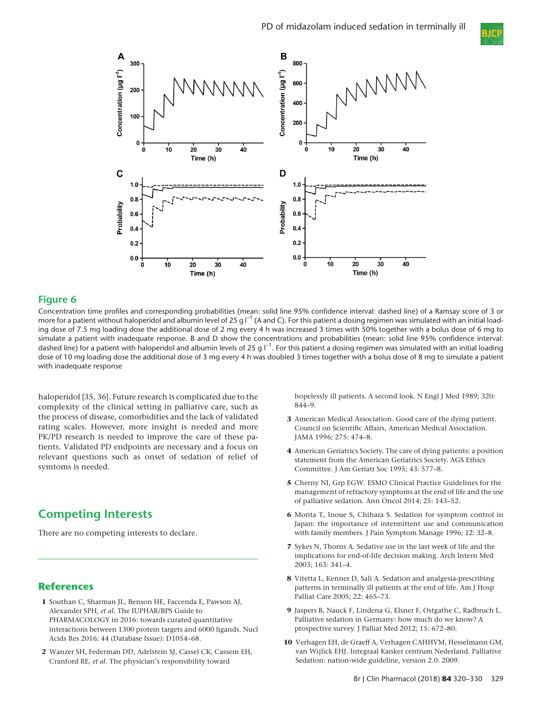



## Figure 6

Concentration time profiles and corresponding probabilities (mean: solid line 95% confidence interval: dashed line) of a Ramsay score of 3 or more for a patient without haloperidol and albumin level of 25 g  $I^{-1}$  (A and C). For this patient a dosing regimen was simulated with an initial loading dose of 7.5 mg loading dose the additional dose of 2 mg every 4 h was increased 3 times with 50% together with a bolus dose of 6 mg to simulate a patient with inadequate response. B and D show the concentrations and probabilities (mean: solid line 95% confidence interval: dashed line) for a patient with haloperidol and albumin levels of 25 g  $\mathsf{\Gamma}^1.$  For this patient a dosing regimen was simulated with an initial loading dose of 10 mg loading dose the additional dose of 3 mg every 4 h was doubled 3 times together with a bolus dose of 8 mg to simulate a patient with inadequate response

haloperidol [35, 36]. Future research is complicated due to the complexity of the clinical setting in palliative care, such as the process of disease, comorbidities and the lack of validated rating scales. However, more insight is needed and more PK/PD research is needed to improve the care of these patients. Validated PD endpoints are necessary and a focus on relevant questions such as onset of sedation of relief of symtoms is needed.

# Competing Interests

There are no competing interests to declare.

## **References**

- 1 Southan C, Sharman JL, Benson HE, Faccenda E, Pawson AJ, Alexander SPH, et al. The IUPHAR/BPS Guide to PHARMACOLOGY in 2016: towards curated quantitative interactions between 1300 protein targets and 6000 ligands. Nucl Acids Res 2016; 44 (Database Issue): D1054–68.
- 2 Wanzer SH, Federman DD, Adelstein SJ, Cassel CK, Cassem EH, Cranford RE, et al. The physician's responsibility toward

hopelessly ill patients. A second look. N Engl J Med 1989; 320: 844–9.

- 3 American Medical Association. Good care of the dying patient. Council on Scientific Affairs, American Medical Association. JAMA 1996; 275: 474–8.
- 4 American Geriatrics Society. The care of dying patients: a position statement from the American Geriatrics Society. AGS Ethics Committee. J Am Geriatr Soc 1995; 43: 577–8.
- 5 Cherny NI, Grp EGW. ESMO Clinical Practice Guidelines for the management of refractory symptoms at the end of life and the use of palliative sedation. Ann Oncol 2014; 25: 143–52.
- 6 Morita T, Inoue S, Chihara S. Sedation for symptom control in Japan: the importance of intermittent use and communication with family members. J Pain Symptom Manage 1996; 12: 32–8.
- 7 Sykes N, Thorns A. Sedative use in the last week of life and the implications for end-of-life decision making. Arch Intern Med 2003; 163: 341–4.
- 8 Vitetta L, Kenner D, Sali A. Sedation and analgesia-prescribing patterns in terminally ill patients at the end of life. Am J Hosp Palliat Care 2005; 22: 465–73.
- 9 Jaspers B, Nauck F, Lindena G, Elsner F, Ostgathe C, Radbruch L. Palliative sedation in Germany: how much do we know? A prospective survey. J Palliat Med 2012; 15: 672–80.
- 10 Verhagen EH, de Graeff A, Verhagen CAHHVM, Hesselmann GM, van Wijlick EHJ. Integraal Kanker centrum Nederland. Palliative Sedation: nation-wide guideline, version 2.0. 2009.